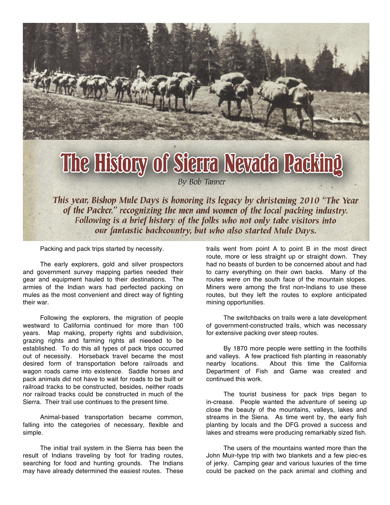

This year, Bishop Mule Days is honoring its legacy by christening 2010 "The Year of the Packer," recognizing the men and women of the local packing industry. Following is a brief history of the folks who not only take visitors into our fantastic backcountry, but who also started Mule Days.

Packing and pack trips started by necessity.

The early explorers, gold and silver prospectors and government survey mapping parties needed their gear and equipment hauled to their destinations. The armies of the Indian wars had perfected packing on mules as the most convenient and direct way of fighting their war.

Following the explorers, the migration of people westward to California continued for more than 100 years. Map making, property rights and subdivision, grazing rights and farming rights all nieeded to be established. To do this all types of pack trips occurred out of necessity. Horseback travel became the most desired form of transportation before railroads and wagon roads came into existence. Saddle horses and pack animals did not have to wait for roads to be built or railroad tracks to be constructed, besides, neither roads nor railroad tracks could be constructed in much of the Sierra. Their trail use continues to the present time.

Animal-based transportation became common, falling into the categories of necessary, flexible and simple.

The initial trail system in the Sierra has been the result of Indians traveling by foot for trading routes, searching for food and hunting grounds. The Indians may have already determined the easiest routes. These

trails went from point A to point B in the most direct route, more or less straight up or straight down. They had no beasts of burden to be concerned about and had to carry everything on their own backs. Many of the routes were on the south face of the mountain slopes. Miners were among the first non-Indians to use these routes, but they left the routes to explore anticipated mining opportunities.

The switchbacks on trails were a late development of government-constructed trails, which was necessary for extensive packing over steep routes.

By 1870 more people were settling in the foothills and valleys. A few practiced fish planting in reasonably nearby locations. About this time the California Department of Fish and Game was created and continued this work.

The tourist business for pack trips began to in-crease. People wanted the adventure of seeing up close the beauty of the mountains, valleys, lakes and streams in the Siena. As time went by, the early fish planting by locals and the DFG proved a success and lakes and streams were producing remarkably sized fish.

The users of the mountains wanted more than the John Muir-type trip with two blankets and a few piec-es of jerky. Camping gear and various luxuries of the time could be packed on the pack animal and clothing and